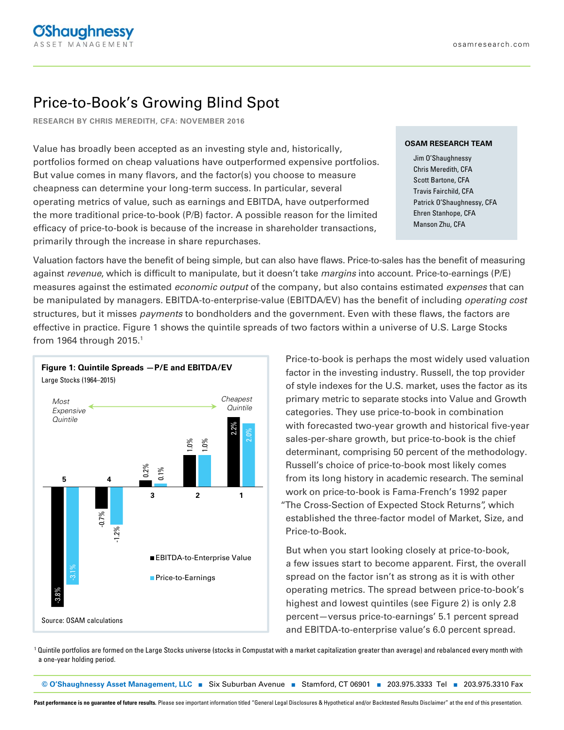# Price-to-Book's Growing Blind Spot

**RESEARCH BY CHRIS MEREDITH, CFA: NOVEMBER 2016**

Value has broadly been accepted as an investing style and, historically, portfolios formed on cheap valuations have outperformed expensive portfolios. But value comes in many flavors, and the factor(s) you choose to measure cheapness can determine your long-term success. In particular, several operating metrics of value, such as earnings and EBITDA, have outperformed the more traditional price-to-book (P/B) factor. A possible reason for the limited efficacy of price-to-book is because of the increase in shareholder transactions, primarily through the increase in share repurchases.

### **OSAM RESEARCH TEAM**

Jim O'Shaughnessy Chris Meredith, CFA Scott Bartone, CFA Travis Fairchild, CFA Patrick O'Shaughnessy, CFA Ehren Stanhope, CFA Manson Zhu, CFA

Valuation factors have the benefit of being simple, but can also have flaws. Price-to-sales has the benefit of measuring against revenue, which is difficult to manipulate, but it doesn't take margins into account. Price-to-earnings (P/E) measures against the estimated *economic output* of the company, but also contains estimated *expenses* that can be manipulated by managers. EBITDA-to-enterprise-value (EBITDA/EV) has the benefit of including *operating cost* structures, but it misses payments to bondholders and the government. Even with these flaws, the factors are effective in practice. Figure 1 shows the quintile spreads of two factors within a universe of U.S. Large Stocks from 1964 through 2015.<sup>1</sup>



1

Price-to-book is perhaps the most widely used valuation factor in the investing industry. Russell, the top provider of style indexes for the U.S. market, uses the factor as its primary metric to separate stocks into Value and Growth categories. They use price-to-book in combination with forecasted two-year growth and historical five-year sales-per-share growth, but price-to-book is the chief determinant, comprising 50 percent of the methodology. Russell's choice of price-to-book most likely comes from its long history in academic research. The seminal work on price-to-book is Fama-French's 1992 paper "The Cross-Section of Expected Stock Returns", which established the three-factor model of Market, Size, and Price-to-Book.

But when you start looking closely at price-to-book, a few issues start to become apparent. First, the overall spread on the factor isn't as strong as it is with other operating metrics. The spread between price-to-book's highest and lowest quintiles (see Figure 2) is only 2.8 percent—versus price-to-earnings' 5.1 percent spread and EBITDA-to-enterprise value's 6.0 percent spread.

 $^{\rm 1}$  Quintile portfolios are formed on the Large Stocks universe (stocks in Compustat with a market capitalization greater than average) and rebalanced every month with

**© O'Shaughnessy Asset Management, LLC** ■ Six Suburban Avenue ■ Stamford, CT 06901 ■ 203.975.3333 Tel ■ 203.975.3310 Fax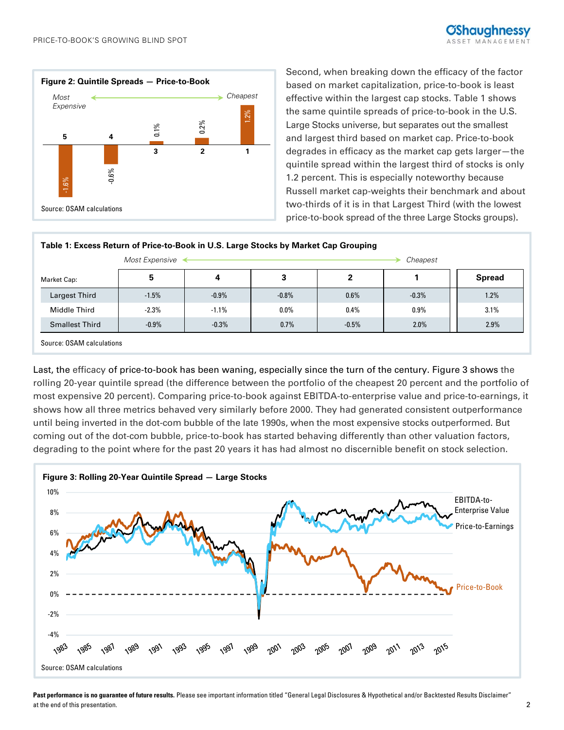

Second, when breaking down the efficacy of the factor based on market capitalization, price-to-book is least effective within the largest cap stocks. Table 1 shows the same quintile spreads of price-to-book in the U.S. Large Stocks universe, but separates out the smallest and largest third based on market cap. Price-to-book degrades in efficacy as the market cap gets larger—the quintile spread within the largest third of stocks is only 1.2 percent. This is especially noteworthy because Russell market cap-weights their benchmark and about two-thirds of it is in that Largest Third (with the lowest price-to-book spread of the three Large Stocks groups).

| 0.6%<br>.6%<br>π<br>Source: OSAM calculations                                       |                                |          |          |         | 1.2 percent. This is especially noteworthy because | Russell market cap-weights their benchmark and about<br>two-thirds of it is in that Largest Third (with the lowest<br>price-to-book spread of the three Large Stocks groups). |
|-------------------------------------------------------------------------------------|--------------------------------|----------|----------|---------|----------------------------------------------------|-------------------------------------------------------------------------------------------------------------------------------------------------------------------------------|
| Table 1: Excess Return of Price-to-Book in U.S. Large Stocks by Market Cap Grouping |                                |          |          |         |                                                    |                                                                                                                                                                               |
|                                                                                     | Most Expensive $\triangleleft$ |          |          |         | Cheapest                                           |                                                                                                                                                                               |
| Market Cap:                                                                         | 5                              | 4        | 3        | 2       |                                                    | <b>Spread</b>                                                                                                                                                                 |
| Largest Third                                                                       | $-1.5%$                        | $-0.9\%$ | $-0.8\%$ | $0.6\%$ | $-0.3\%$                                           | 1.2%                                                                                                                                                                          |
| Middle Third                                                                        | $-2.3\%$                       | $-1.1\%$ | $0.0\%$  | $0.4\%$ | $0.9\%$                                            | $3.1\%$                                                                                                                                                                       |
| <b>Smallest Third</b>                                                               | $-0.9\%$                       | $-0.3\%$ | 0.7%     | $-0.5%$ | $2.0\%$                                            | 2.9%                                                                                                                                                                          |
| Source: OSAM calculations                                                           |                                |          |          |         |                                                    |                                                                                                                                                                               |

Last, the efficacy of price-to-book has been waning, especially since the turn of the century. Figure 3 shows the rolling 20-year quintile spread (the difference between the portfolio of the cheapest 20 percent and the portfolio of most expensive 20 percent). Comparing price-to-book against EBITDA-to-enterprise value and price-to-earnings, it shows how all three metrics behaved very similarly before 2000. They had generated consistent outperformance until being inverted in the dot-com bubble of the late 1990s, when the most expensive stocks outperformed. But coming out of the dot-com bubble, price-to-book has started behaving differently than other valuation factors, degrading to the point where for the past 20 years it has had almost no discernible benefit on stock selection.



Past performance is no guarantee of future results. Please see important information titled "General Legal Disclosures & Hypothetical and/or Backtested Results Disclaimer" at the end of this presentation. 2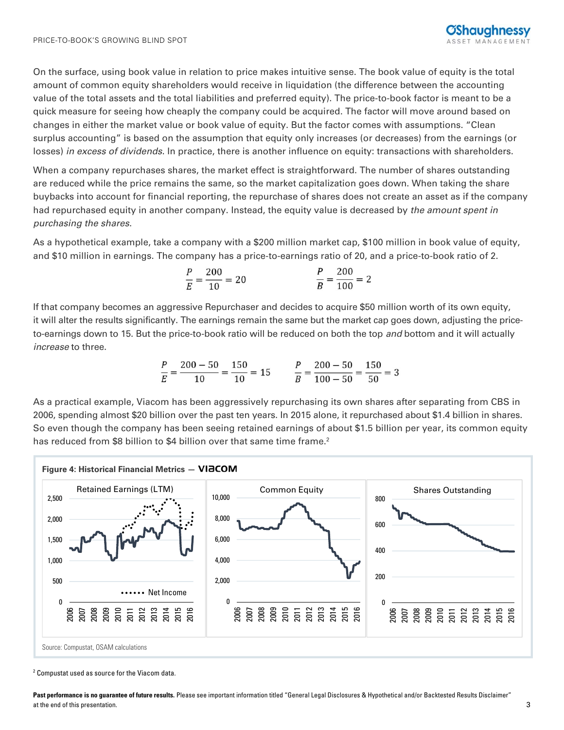On the surface, using book value in relation to price makes intuitive sense. The book value of equity is the total amount of common equity shareholders would receive in liquidation (the difference between the accounting value of the total assets and the total liabilities and preferred equity). The price-to-book factor is meant to be a quick measure for seeing how cheaply the company could be acquired. The factor will move around based on changes in either the market value or book value of equity. But the factor comes with assumptions. "Clean surplus accounting" is based on the assumption that equity only increases (or decreases) from the earnings (or losses) in excess of dividends. In practice, there is another influence on equity: transactions with shareholders.

When a company repurchases shares, the market effect is straightforward. The number of shares outstanding are reduced while the price remains the same, so the market capitalization goes down. When taking the share buybacks into account for financial reporting, the repurchase of shares does not create an asset as if the company had repurchased equity in another company. Instead, the equity value is decreased by the amount spent in purchasing the shares.

As a hypothetical example, take a company with a \$200 million market cap, \$100 million in book value of equity, and \$10 million in earnings. The company has a price-to-earnings ratio of 20, and a price-to-book ratio of 2.

$$
\frac{P}{E} = \frac{200}{10} = 20
$$
 
$$
\frac{P}{B} = \frac{200}{100} = 2
$$

If that company becomes an aggressive Repurchaser and decides to acquire \$50 million worth of its own equity, it will alter the results significantly. The earnings remain the same but the market cap goes down, adjusting the priceto-earnings down to 15. But the price-to-book ratio will be reduced on both the top and bottom and it will actually increase to three.

$$
\frac{P}{E} = \frac{200 - 50}{10} = \frac{150}{10} = 15
$$
\n
$$
\frac{P}{B} = \frac{200 - 50}{100 - 50} = \frac{150}{50} = 3
$$

As a practical example, Viacom has been aggressively repurchasing its own shares after separating from CBS in 2006, spending almost \$20 billion over the past ten years. In 2015 alone, it repurchased about \$1.4 billion in shares. So even though the company has been seeing retained earnings of about \$1.5 billion per year, its common equity has reduced from \$8 billion to \$4 billion over that same time frame.<sup>2</sup>



<sup>2</sup> Compustat used as source for the Viacom data.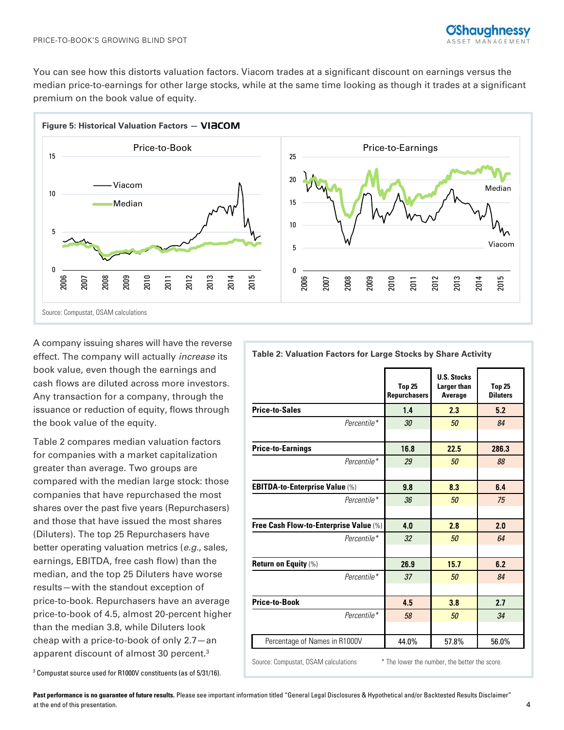



A company issuing shares will have the reverse effect. The company will actually increase its book value, even though the earnings and cash flows are diluted across more investors. Any transaction for a company, through the issuance or reduction of equity, flows through the book value of the equity.

Table 2 compares median valuation factors for companies with a market capitalization greater than average. Two groups are compared with the median large stock: those companies that have repurchased the most shares over the past five years (Repurchasers) and those that have issued the most shares (Diluters). The top 25 Repurchasers have better operating valuation metrics (e.g., sales, earnings, EBITDA, free cash flow) than the median, and the top 25 Diluters have worse results—with the standout exception of price-to-book. Repurchasers have an average price-to-book of 4.5, almost 20-percent higher than the median 3.8, while Diluters look cheap with a price-to-book of only 2.7—an apparent discount of almost 30 percent.3

**Top 25 Repurchasers U.S. Stocks Larger than Average Top 25 Diluters Price-to-Sales 1.4 2.3 5.2**  $Percentile *$  30 50  $\overline{30}$  30 **Price-to-Earnings** 16.8 22.5 286.3 Percentile\* 29 50 88 **EBITDA-to-Enterprise Value (%) 8.8 8.3 6.4** Percentile\*  $36$  50 75 **Free Cash Flow-to-Enterprise Value (%)** 4.0 2.8 2.0 Percentile\*  $32$  50 64 **Return on Equity** (%) **26.9 15.7 6.2** Percentile\*  $37$   $50$   $84$ **Price-to-Book 1 4.5 3.8 2.7** Percentile\*  $58$   $50$   $34$  $\overline{a}$ Percentage of Names in R1000V 44.0% 57.8% 56.0% Source: Compustat, OSAM calculations \* The lower the number, the better the score.

#### 3 Compustat source used for R1000V constituents (as of 5/31/16).

Past performance is no guarantee of future results. Please see important information titled "General Legal Disclosures & Hypothetical and/or Backtested Results Disclaimer" at the end of this presentation. 4

## **Table 2: Valuation Factors for Large Stocks by Share Activity**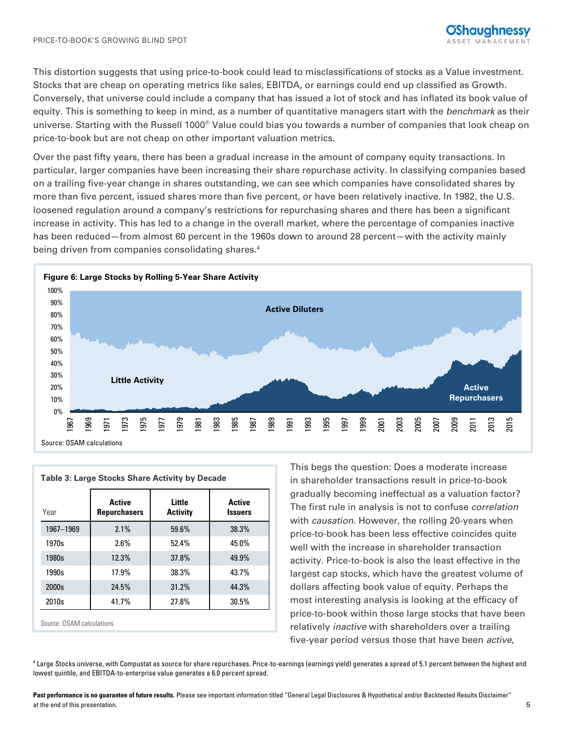This distortion suggests that using price-to-book could lead to misclassifications of stocks as a Value investment. Stocks that are cheap on operating metrics like sales, EBITDA, or earnings could end up classified as Growth. Conversely, that universe could include a company that has issued a lot of stock and has inflated its book value of equity. This is something to keep in mind, as a number of quantitative managers start with the benchmark as their universe. Starting with the Russell 1000® Value could bias you towards a number of companies that look cheap on price-to-book but are not cheap on other important valuation metrics.

Over the past fifty years, there has been a gradual increase in the amount of company equity transactions. In particular, larger companies have been increasing their share repurchase activity. In classifying companies based on a trailing five-year change in shares outstanding, we can see which companies have consolidated shares by more than five percent, issued shares more than five percent, or have been relatively inactive. In 1982, the U.S. loosened regulation around a company's restrictions for repurchasing shares and there has been a significant increase in activity. This has led to a change in the overall market, where the percentage of companies inactive has been reduced—from almost 60 percent in the 1960s down to around 28 percent—with the activity mainly being driven from companies consolidating shares.<sup>4</sup>



| Year      | <b>Active</b><br><b>Repurchasers</b> | Little<br><b>Activity</b> | <b>Active</b><br><b>Issuers</b> |
|-----------|--------------------------------------|---------------------------|---------------------------------|
| 1967-1969 | 2.1%                                 | 59.6%                     | 38.3%                           |
| 1970s     | 2.6%                                 | 52.4%                     | 45.0%                           |
| 1980s     | 12.3%                                | 37.8%                     | 49.9%                           |
| 1990s     | 17.9%                                | 38.3%                     | 43.7%                           |
| 2000s     | 24.5%                                | 31.2%                     | 44.3%                           |
| 2010s     | 41.7%                                | 27.8%                     | 30.5%                           |

This begs the question: Does a moderate increase in shareholder transactions result in price-to-book gradually becoming ineffectual as a valuation factor? The first rule in analysis is not to confuse correlation with *causation*. However, the rolling 20-years when price-to-book has been less effective coincides quite well with the increase in shareholder transaction activity. Price-to-book is also the least effective in the largest cap stocks, which have the greatest volume of dollars affecting book value of equity. Perhaps the most interesting analysis is looking at the efficacy of price-to-book within those large stocks that have been relatively inactive with shareholders over a trailing five-year period versus those that have been active,

4 Large Stocks universe, with Compustat as source for share repurchases. Price-to-earnings (earnings yield) generates a spread of 5.1 percent between the highest and lowest quintile, and EBITDA-to-enterprise value generates a 6.0 percent spread.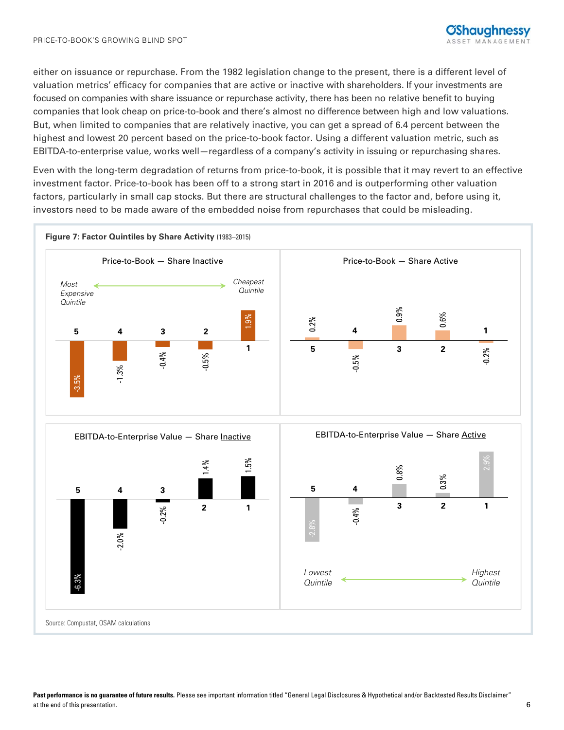either on issuance or repurchase. From the 1982 legislation change to the present, there is a different level of valuation metrics' efficacy for companies that are active or inactive with shareholders. If your investments are focused on companies with share issuance or repurchase activity, there has been no relative benefit to buying companies that look cheap on price-to-book and there's almost no difference between high and low valuations. But, when limited to companies that are relatively inactive, you can get a spread of 6.4 percent between the highest and lowest 20 percent based on the price-to-book factor. Using a different valuation metric, such as EBITDA-to-enterprise value, works well—regardless of a company's activity in issuing or repurchasing shares.

Even with the long-term degradation of returns from price-to-book, it is possible that it may revert to an effective investment factor. Price-to-book has been off to a strong start in 2016 and is outperforming other valuation factors, particularly in small cap stocks. But there are structural challenges to the factor and, before using it, investors need to be made aware of the embedded noise from repurchases that could be misleading.